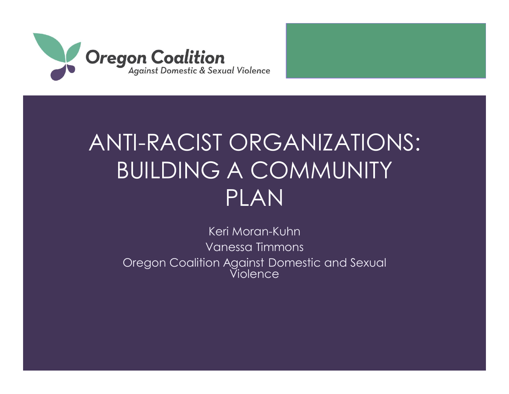

#### ANTI-RACIST ORGANIZATIONS: BUILDING A COMMUNITY PLAN

Keri Moran-Kuhn Vanessa Timmons Oregon Coalition Against Domestic and Sexual Violence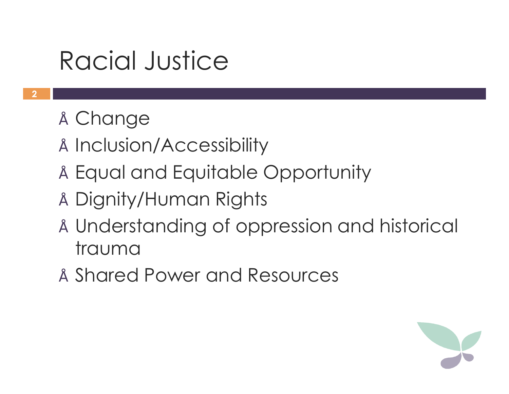### Racial Justice

- Change
- Inclusion/Accessibility
- Equal and Equitable Opportunity
- Dignity/Human Rights
- Understanding of oppression and historical trauma
- Shared Power and Resources

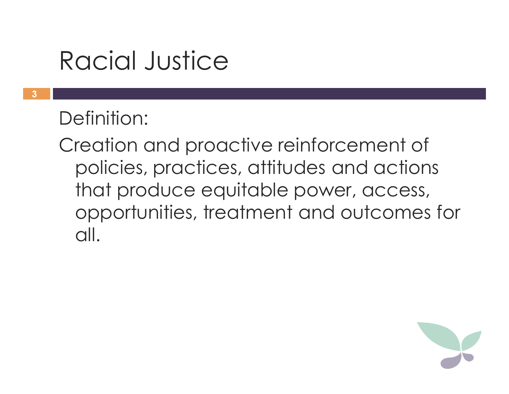### Racial Justice

#### Definition:

Creation and proactive reinforcement of policies, practices, attitudes and actions that produce equitable power, access, opportunities, treatment and outcomes for all.

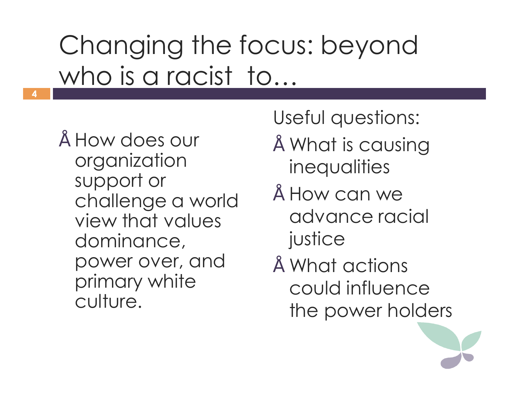# Changing the focus: beyond who is a racist to...

• How does our organization support or challenge a world view that values dominance, power over, and primary white culture.

**4**

Useful questions:

- What is causing **inequalities**
- How can we advance racial justice
- What actions could influence the power holders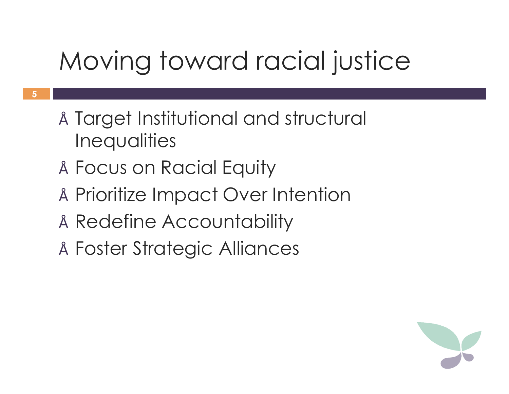## Moving toward racial justice

- Target Institutional and structural **Inequalities**
- Focus on Racial Equity
- Prioritize Impact Over Intention
- Redefine Accountability
- Foster Strategic Alliances

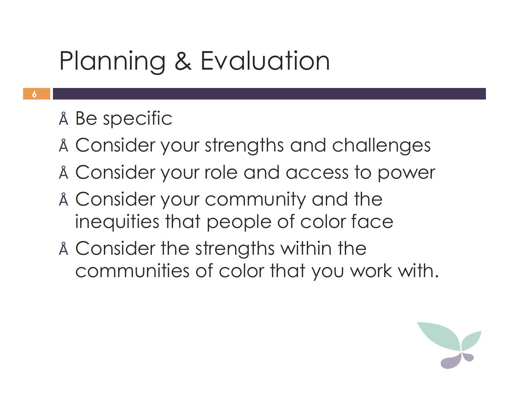## Planning & Evaluation

- Be specific
- Consider your strengths and challenges
- Consider your role and access to power
- Consider your community and the inequities that people of color face
- Consider the strengths within the communities of color that you work with.

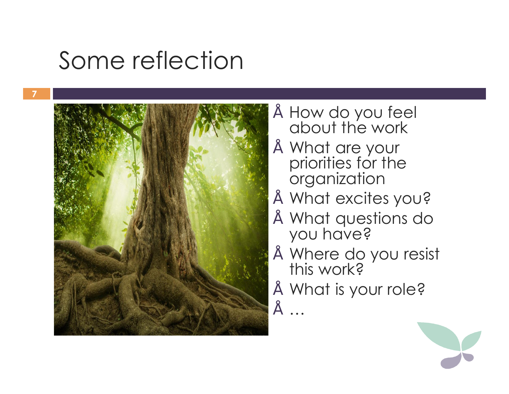#### Some reflection



- How do you feel about the work
- What are your priorities for the organization
- What excites you?
- What questions do you have?
- Where do you resist this work?
- What is your role?

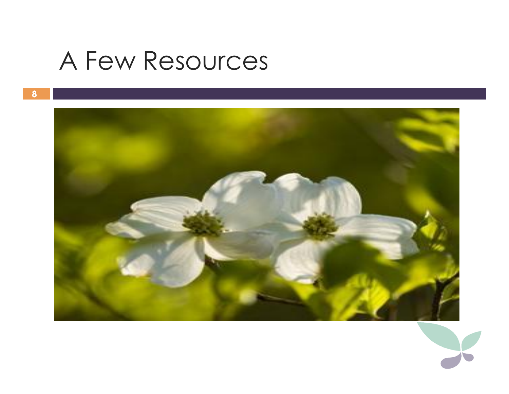#### A Few Resources